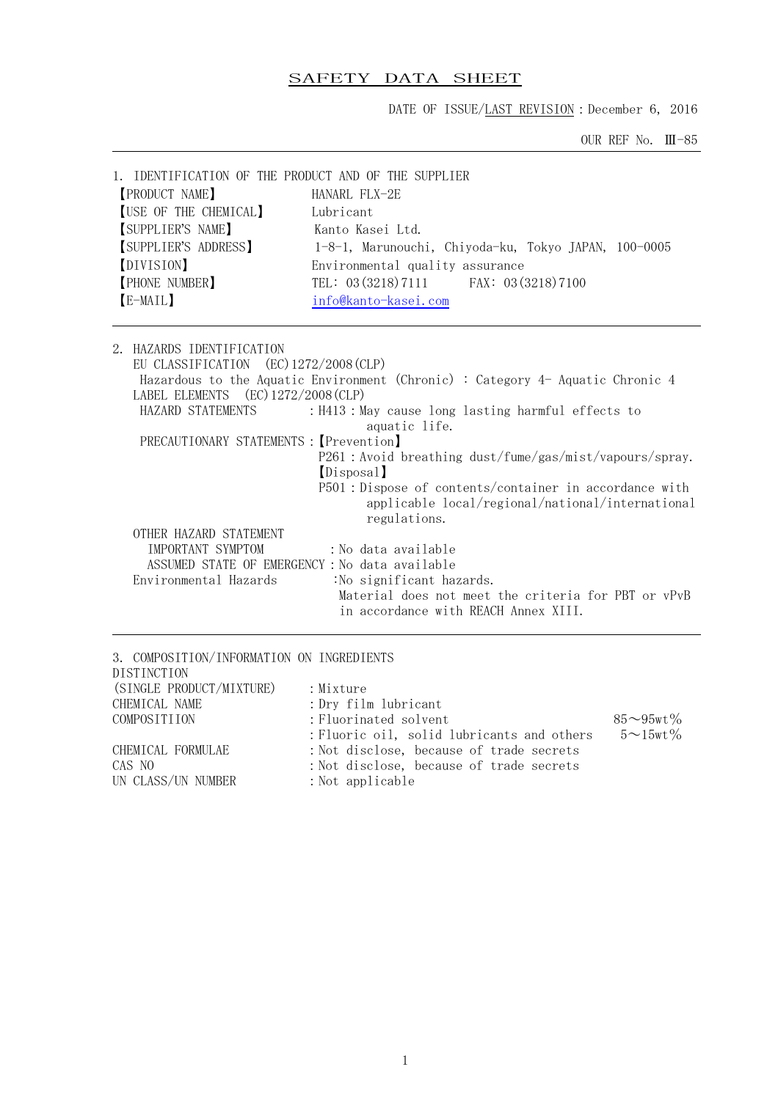# SAFETY DATA SHEET

DATE OF ISSUE/LAST REVISION: December 6, 2016

OUR REF No. Ⅲ-85

| 1. IDENTIFICATION OF THE PRODUCT AND OF THE SUPPLIER<br><b>PRODUCT NAME</b><br>[USE OF THE CHEMICAL]<br>SUPPLIER'S NAME]<br>SUPPLIER'S ADDRESS<br>[DIVISION]<br><b>PHONE NUMBER</b><br>[E-MAIL] | HANARL FLX-2E<br>Lubricant<br>Kanto Kasej Ltd.<br>1-8-1, Marunouchi, Chiyoda-ku, Tokyo JAPAN, 100-0005<br>Environmental quality assurance<br>TEL: 03 (3218) 7111 FAX: 03 (3218) 7100<br>info@kanto-kasei.com                                                                                                                                                  |
|-------------------------------------------------------------------------------------------------------------------------------------------------------------------------------------------------|---------------------------------------------------------------------------------------------------------------------------------------------------------------------------------------------------------------------------------------------------------------------------------------------------------------------------------------------------------------|
| 2.<br>HAZARDS IDENTIFICATION<br>EU CLASSIFICATION (EC) 1272/2008 (CLP)<br>LABEL ELEMENTS (EC) 1272/2008 (CLP)<br>HAZARD STATEMENTS<br>PRECAUTIONARY STATEMENTS : [Prevention]                   | Hazardous to the Aquatic Environment (Chronic) : Category 4- Aquatic Chronic 4<br>: H413 : May cause long lasting harmful effects to<br>aquatic life.<br>P261 : Avoid breathing dust/fume/gas/mist/vapours/spray.<br>(Disposal)<br>P501: Dispose of contents/container in accordance with<br>applicable local/regional/national/international<br>regulations. |
| OTHER HAZARD STATEMENT<br>IMPORTANT SYMPTOM                                                                                                                                                     | :No data available                                                                                                                                                                                                                                                                                                                                            |
| ASSUMED STATE OF EMERGENCY: No data available                                                                                                                                                   |                                                                                                                                                                                                                                                                                                                                                               |
| Environmental Hazards                                                                                                                                                                           | :No significant hazards.                                                                                                                                                                                                                                                                                                                                      |
|                                                                                                                                                                                                 | Material does not meet the criteria for PBT or vPvB<br>in accordance with REACH Annex XIII.                                                                                                                                                                                                                                                                   |

| 3. COMPOSITION/INFORMATION ON INGREDIENTS |                                            |                      |
|-------------------------------------------|--------------------------------------------|----------------------|
| <b>DISTINCTION</b>                        |                                            |                      |
| (SINGLE PRODUCT/MIXTURE)                  | : Mixture                                  |                      |
| CHEMICAL NAME                             | : Dry film lubricant                       |                      |
| COMPOSITIION                              | : Fluorinated solvent                      | $85{\sim}95$ wt $\%$ |
|                                           | : Fluoric oil, solid lubricants and others | $5 \sim 15$ wt $\%$  |
| CHEMICAL FORMULAE                         | : Not disclose, because of trade secrets   |                      |
| CAS NO                                    | : Not disclose, because of trade secrets   |                      |
| UN CLASS/UN NUMBER                        | $:$ Not applicable                         |                      |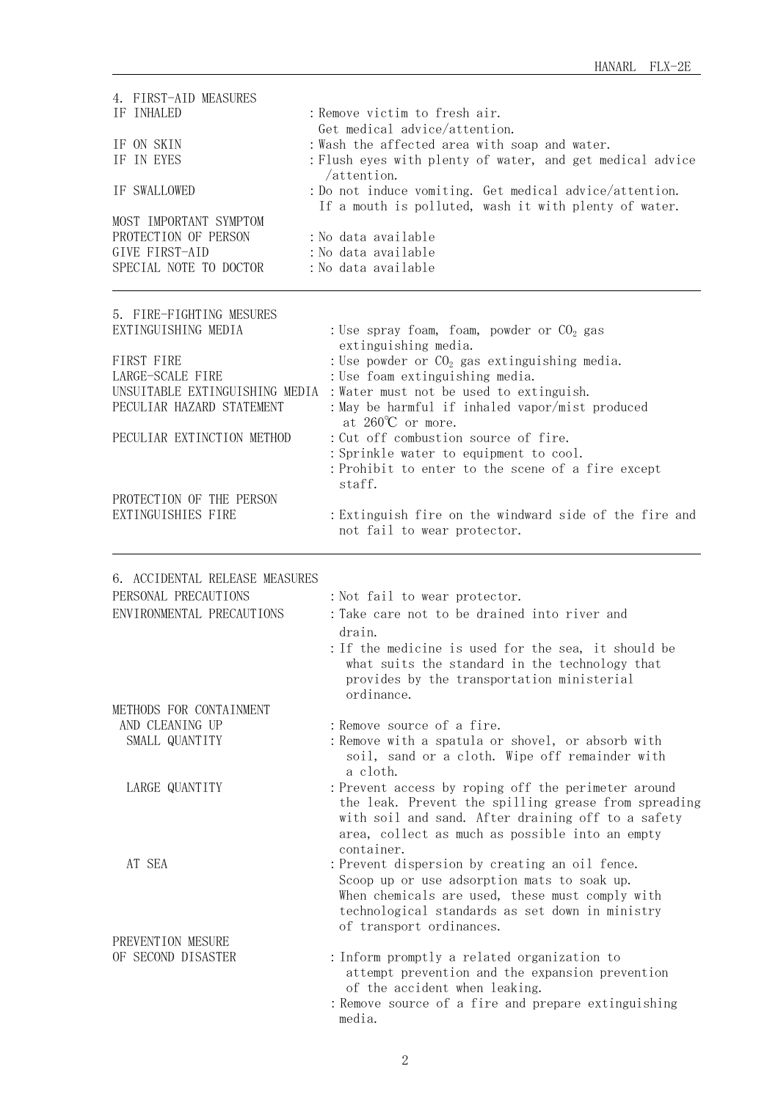| 4. FIRST-AID MEASURES<br>IF INHALED<br>IF ON SKIN<br>IF IN EYES<br>IF SWALLOWED<br>MOST IMPORTANT SYMPTOM<br>PROTECTION OF PERSON<br>GIVE FIRST-AID<br>SPECIAL NOTE TO DOCTOR                                                    | : Remove victim to fresh air.<br>Get medical advice/attention.<br>: Wash the affected area with soap and water.<br>: Flush eyes with plenty of water, and get medical advice<br>$/$ attention.<br>: Do not induce vomiting. Get medical advice/attention.<br>If a mouth is polluted, wash it with plenty of water.<br>: No data available<br>: No data available<br>: No data available                                                                                                                                         |
|----------------------------------------------------------------------------------------------------------------------------------------------------------------------------------------------------------------------------------|---------------------------------------------------------------------------------------------------------------------------------------------------------------------------------------------------------------------------------------------------------------------------------------------------------------------------------------------------------------------------------------------------------------------------------------------------------------------------------------------------------------------------------|
| 5. FIRE-FIGHTING MESURES<br>EXTINGUISHING MEDIA<br>FIRST FIRE<br>LARGE-SCALE FIRE<br>UNSUITABLE EXTINGUISHING MEDIA<br>PECULIAR HAZARD STATEMENT<br>PECULIAR EXTINCTION METHOD<br>PROTECTION OF THE PERSON<br>EXTINGUISHIES FIRE | : Use spray foam, foam, powder or $CO2$ gas<br>extinguishing media.<br>: Use powder or $CO2$ gas extinguishing media.<br>: Use foam extinguishing media.<br>: Water must not be used to extinguish.<br>: May be harmful if inhaled vapor/mist produced<br>at $260^{\circ}$ C or more.<br>: Cut off combustion source of fire.<br>: Sprinkle water to equipment to cool.<br>: Prohibit to enter to the scene of a fire except<br>staff.<br>: Extinguish fire on the windward side of the fire and<br>not fail to wear protector. |
| 6. ACCIDENTAL RELEASE MEASURES<br>PERSONAL PRECAUTIONS<br>ENVIRONMENTAL PRECAUTIONS                                                                                                                                              | : Not fail to wear protector.<br>: Take care not to be drained into river and<br>drain.<br>: If the medicine is used for the sea, it should be<br>what suits the standard in the technology that<br>provides by the transportation ministerial<br>ordinance.                                                                                                                                                                                                                                                                    |
| METHODS FOR CONTAINMENT<br>AND CLEANING UP<br>SMALL QUANTITY                                                                                                                                                                     | : Remove source of a fire.<br>: Remove with a spatula or shovel, or absorb with<br>soil, sand or a cloth. Wipe off remainder with<br>a cloth.                                                                                                                                                                                                                                                                                                                                                                                   |
| LARGE QUANTITY                                                                                                                                                                                                                   | : Prevent access by roping off the perimeter around<br>the leak. Prevent the spilling grease from spreading<br>with soil and sand. After draining off to a safety<br>area, collect as much as possible into an empty<br>container.                                                                                                                                                                                                                                                                                              |
| AT SEA                                                                                                                                                                                                                           | : Prevent dispersion by creating an oil fence.<br>Scoop up or use adsorption mats to soak up.<br>When chemicals are used, these must comply with<br>technological standards as set down in ministry<br>of transport ordinances.                                                                                                                                                                                                                                                                                                 |
| PREVENTION MESURE<br>OF SECOND DISASTER                                                                                                                                                                                          | : Inform promptly a related organization to<br>attempt prevention and the expansion prevention<br>of the accident when leaking.<br>: Remove source of a fire and prepare extinguishing<br>media.                                                                                                                                                                                                                                                                                                                                |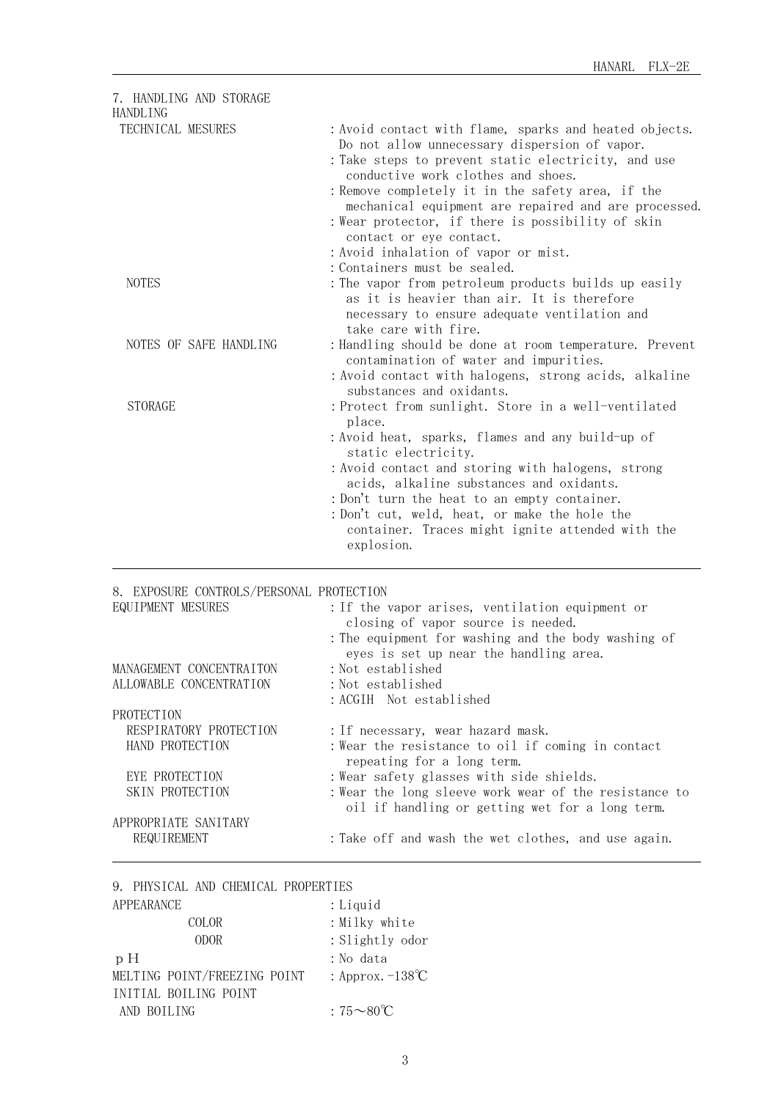| 7. HANDLING AND STORAGE<br><b>HANDLING</b> |                                                                                                                                                                                                                                                                                                                                                                                                                                          |
|--------------------------------------------|------------------------------------------------------------------------------------------------------------------------------------------------------------------------------------------------------------------------------------------------------------------------------------------------------------------------------------------------------------------------------------------------------------------------------------------|
| TECHNICAL MESURES                          | : Avoid contact with flame, sparks and heated objects.<br>Do not allow unnecessary dispersion of vapor.<br>:Take steps to prevent static electricity, and use<br>conductive work clothes and shoes.<br>: Remove completely it in the safety area, if the<br>mechanical equipment are repaired and are processed.<br>: Wear protector, if there is possibility of skin<br>contact or eye contact.<br>: Avoid inhalation of vapor or mist. |
| <b>NOTES</b>                               | : Containers must be sealed.<br>: The vapor from petroleum products builds up easily<br>as it is heavier than air. It is therefore<br>necessary to ensure adequate ventilation and<br>take care with fire.                                                                                                                                                                                                                               |
| NOTES OF SAFE HANDLING                     | : Handling should be done at room temperature. Prevent<br>contamination of water and impurities.<br>: Avoid contact with halogens, strong acids, alkaline<br>substances and oxidants.                                                                                                                                                                                                                                                    |
| <b>STORAGE</b>                             | : Protect from sunlight. Store in a well-ventilated<br>place.<br>: Avoid heat, sparks, flames and any build-up of<br>static electricity.<br>: Avoid contact and storing with halogens, strong<br>acids, alkaline substances and oxidants.<br>: Don't turn the heat to an empty container.<br>: Don't cut, weld, heat, or make the hole the<br>container. Traces might ignite attended with the<br>explosion.                             |

## 8. EXPOSURE CONTROLS/PERSONAL PROTECTION

| EQUIPMENT MESURES        | : If the vapor arises, ventilation equipment or<br>closing of vapor source is needed.<br>: The equipment for washing and the body washing of<br>eyes is set up near the handling area. |
|--------------------------|----------------------------------------------------------------------------------------------------------------------------------------------------------------------------------------|
| MANAGEMENT CONCENTRAITON | : Not established                                                                                                                                                                      |
| ALLOWABLE CONCENTRATION  | : Not established                                                                                                                                                                      |
|                          | : ACGIH Not established                                                                                                                                                                |
| PROTECTION               |                                                                                                                                                                                        |
| RESPIRATORY PROTECTION   | : If necessary, wear hazard mask.                                                                                                                                                      |
| HAND PROTECTION          | : Wear the resistance to oil if coming in contact<br>repeating for a long term.                                                                                                        |
| EYE PROTECTION           | : Wear safety glasses with side shields.                                                                                                                                               |
| SKIN PROTECTION          | : Wear the long sleeve work wear of the resistance to<br>oil if handling or getting wet for a long term.                                                                               |
| APPROPRIATE SANITARY     |                                                                                                                                                                                        |
| REQUIREMENT              | : Take off and wash the wet clothes, and use again.                                                                                                                                    |

| 9. PHYSICAL AND CHEMICAL PROPERTIES |                               |
|-------------------------------------|-------------------------------|
| APPEARANCE                          | : Liquid                      |
| <b>COLOR</b>                        | : Milky white                 |
| <b>ODOR</b>                         | : Slightly odor               |
| pH                                  | : No data                     |
| MELTING POINT/FREEZING POINT        | : Approx. $-138^{\circ}C$     |
| INITIAL BOILING POINT               |                               |
| AND BOILING                         | $.75 \rightarrow 80^{\circ}C$ |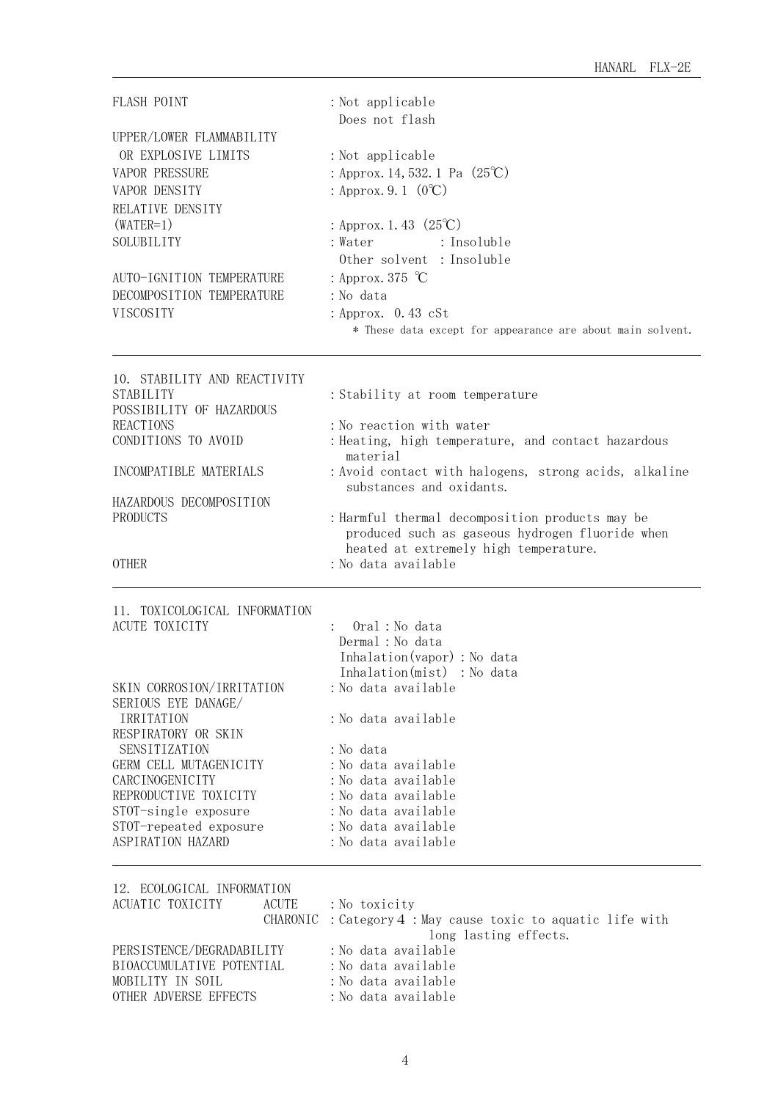| FLASH POINT                                                                                                                                                                                                                                                                                                   | : Not applicable<br>Does not flash                                                                                                                                                                                                                                                                                                                                                       |
|---------------------------------------------------------------------------------------------------------------------------------------------------------------------------------------------------------------------------------------------------------------------------------------------------------------|------------------------------------------------------------------------------------------------------------------------------------------------------------------------------------------------------------------------------------------------------------------------------------------------------------------------------------------------------------------------------------------|
| UPPER/LOWER FLAMMABILITY<br>OR EXPLOSIVE LIMITS<br><b>VAPOR PRESSURE</b><br>VAPOR DENSITY<br>RELATIVE DENSITY<br>$(WATER=1)$<br>SOLUBILITY<br>AUTO-IGNITION TEMPERATURE<br>DECOMPOSITION TEMPERATURE<br>VISCOSITY                                                                                             | : Not applicable<br>: Approx. 14, 532. 1 Pa $(25^{\circ}\text{C})$<br>: Approx. 9. 1 $(0^{\circ}C)$<br>: Approx. 1. 43 $(25^{\circ}\text{C})$<br>: Water<br>: Insoluble<br>Other solvent : Insoluble<br>: Approx. 375 $\degree$ C<br>: No data<br>: Approx. $0.43 \text{ cSt}$<br>* These data except for appearance are about main solvent.                                             |
| 10. STABILITY AND REACTIVITY<br><b>STABILITY</b><br>POSSIBILITY OF HAZARDOUS<br><b>REACTIONS</b><br>CONDITIONS TO AVOID<br>INCOMPATIBLE MATERIALS<br>HAZARDOUS DECOMPOSITION<br><b>PRODUCTS</b><br><b>OTHER</b>                                                                                               | : Stability at room temperature<br>: No reaction with water<br>: Heating, high temperature, and contact hazardous<br>material<br>: Avoid contact with halogens, strong acids, alkaline<br>substances and oxidants.<br>: Harmful thermal decomposition products may be<br>produced such as gaseous hydrogen fluoride when<br>heated at extremely high temperature.<br>: No data available |
| 11. TOXICOLOGICAL INFORMATION<br><b>ACUTE TOXICITY</b><br>SKIN CORROSION/IRRITATION<br>SERIOUS EYE DANAGE/<br>IRRITATION<br>RESPIRATORY OR SKIN<br>SENSITIZATION<br>GERM CELL MUTAGENICITY<br>CARCINOGENICITY<br>REPRODUCTIVE TOXICITY<br>STOT-single exposure<br>STOT-repeated exposure<br>ASPIRATION HAZARD | Oral: No data<br>Dermal : No data<br>Inhalation (vapor) : No data<br>Inhalation(mist) : No data<br>:No data available<br>: No data available<br>: No data<br>: No data available<br>: No data available<br>:No data available<br>:No data available<br>: No data available<br>:No data available                                                                                         |
| 12. ECOLOGICAL INFORMATION<br>ACUATIC TOXICITY<br><b>ACUTE</b><br>CHARONIC<br>PERSISTENCE/DEGRADABILITY<br>BIOACCUMULATIVE POTENTIAL<br>MOBILITY IN SOIL<br>OTHER ADVERSE EFFECTS                                                                                                                             | : No toxicity<br>: Category 4 : May cause toxic to aquatic life with<br>long lasting effects.<br>:No data available<br>:No data available<br>:No data available<br>: No data available                                                                                                                                                                                                   |